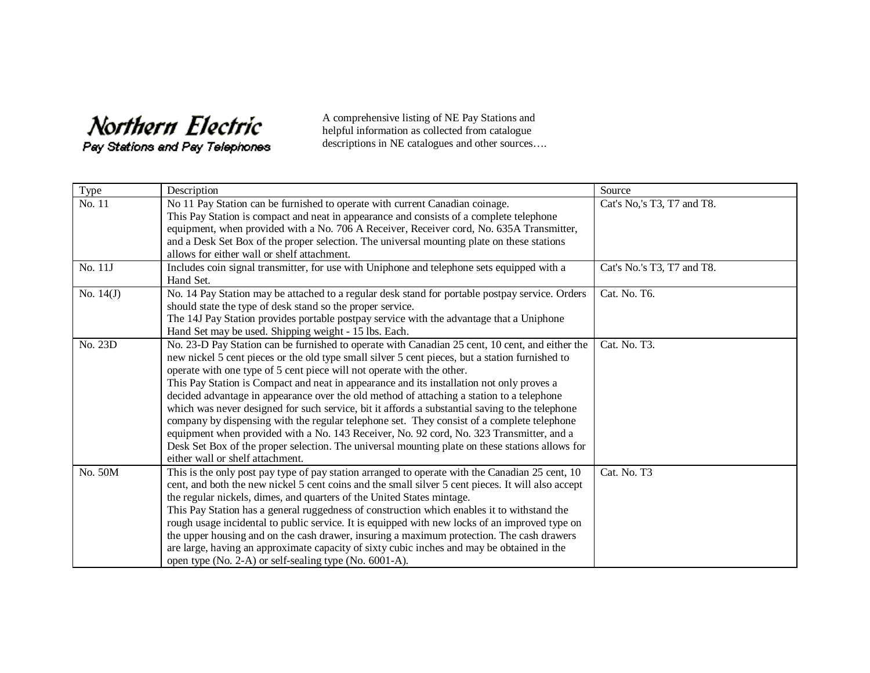## Northern Electric

Pay Stations and Pay Telephones

A comprehensive listing of NE Pay Stations and helpful information as collected from catalogue descriptions in NE catalogues and other sources….

| Type        | Description                                                                                        | Source                     |
|-------------|----------------------------------------------------------------------------------------------------|----------------------------|
| No. 11      | No 11 Pay Station can be furnished to operate with current Canadian coinage.                       | Cat's No,'s T3, T7 and T8. |
|             | This Pay Station is compact and neat in appearance and consists of a complete telephone            |                            |
|             | equipment, when provided with a No. 706 A Receiver, Receiver cord, No. 635A Transmitter,           |                            |
|             | and a Desk Set Box of the proper selection. The universal mounting plate on these stations         |                            |
|             | allows for either wall or shelf attachment.                                                        |                            |
| No. 11J     | Includes coin signal transmitter, for use with Uniphone and telephone sets equipped with a         | Cat's No.'s T3, T7 and T8. |
|             | Hand Set.                                                                                          |                            |
| No. $14(J)$ | No. 14 Pay Station may be attached to a regular desk stand for portable postpay service. Orders    | Cat. No. T6.               |
|             | should state the type of desk stand so the proper service.                                         |                            |
|             | The 14J Pay Station provides portable postpay service with the advantage that a Uniphone           |                            |
|             | Hand Set may be used. Shipping weight - 15 lbs. Each.                                              |                            |
| No. 23D     | No. 23-D Pay Station can be furnished to operate with Canadian 25 cent, 10 cent, and either the    | Cat. No. T3.               |
|             | new nickel 5 cent pieces or the old type small silver 5 cent pieces, but a station furnished to    |                            |
|             | operate with one type of 5 cent piece will not operate with the other.                             |                            |
|             | This Pay Station is Compact and neat in appearance and its installation not only proves a          |                            |
|             | decided advantage in appearance over the old method of attaching a station to a telephone          |                            |
|             | which was never designed for such service, bit it affords a substantial saving to the telephone    |                            |
|             | company by dispensing with the regular telephone set. They consist of a complete telephone         |                            |
|             | equipment when provided with a No. 143 Receiver, No. 92 cord, No. 323 Transmitter, and a           |                            |
|             | Desk Set Box of the proper selection. The universal mounting plate on these stations allows for    |                            |
|             | either wall or shelf attachment.                                                                   |                            |
| No. 50M     | This is the only post pay type of pay station arranged to operate with the Canadian 25 cent, 10    | Cat. No. T3                |
|             | cent, and both the new nickel 5 cent coins and the small silver 5 cent pieces. It will also accept |                            |
|             | the regular nickels, dimes, and quarters of the United States mintage.                             |                            |
|             | This Pay Station has a general ruggedness of construction which enables it to withstand the        |                            |
|             | rough usage incidental to public service. It is equipped with new locks of an improved type on     |                            |
|             | the upper housing and on the cash drawer, insuring a maximum protection. The cash drawers          |                            |
|             | are large, having an approximate capacity of sixty cubic inches and may be obtained in the         |                            |
|             | open type (No. 2-A) or self-sealing type (No. 6001-A).                                             |                            |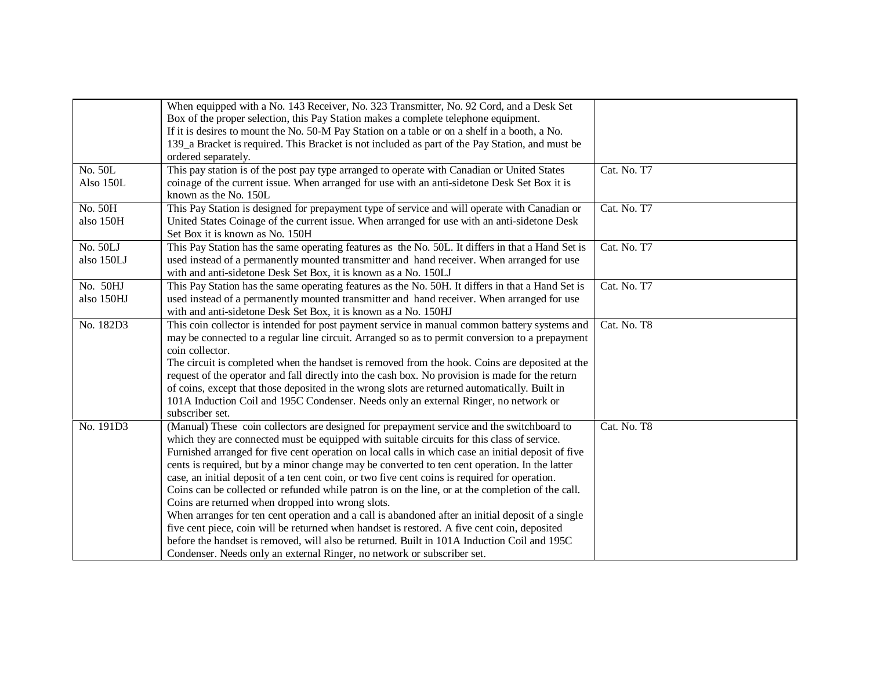|            | When equipped with a No. 143 Receiver, No. 323 Transmitter, No. 92 Cord, and a Desk Set            |             |
|------------|----------------------------------------------------------------------------------------------------|-------------|
|            | Box of the proper selection, this Pay Station makes a complete telephone equipment.                |             |
|            | If it is desires to mount the No. 50-M Pay Station on a table or on a shelf in a booth, a No.      |             |
|            | 139_a Bracket is required. This Bracket is not included as part of the Pay Station, and must be    |             |
|            | ordered separately.                                                                                |             |
| No. 50L    | This pay station is of the post pay type arranged to operate with Canadian or United States        | Cat. No. T7 |
| Also 150L  | coinage of the current issue. When arranged for use with an anti-sidetone Desk Set Box it is       |             |
|            | known as the No. 150L                                                                              |             |
| No. 50H    | This Pay Station is designed for prepayment type of service and will operate with Canadian or      | Cat. No. T7 |
| also 150H  | United States Coinage of the current issue. When arranged for use with an anti-sidetone Desk       |             |
|            | Set Box it is known as No. 150H                                                                    |             |
| No. 50LJ   | This Pay Station has the same operating features as the No. 50L. It differs in that a Hand Set is  | Cat. No. T7 |
| also 150LJ | used instead of a permanently mounted transmitter and hand receiver. When arranged for use         |             |
|            | with and anti-sidetone Desk Set Box, it is known as a No. 150LJ                                    |             |
| No. 50HJ   | This Pay Station has the same operating features as the No. 50H. It differs in that a Hand Set is  | Cat. No. T7 |
| also 150HJ | used instead of a permanently mounted transmitter and hand receiver. When arranged for use         |             |
|            | with and anti-sidetone Desk Set Box, it is known as a No. 150HJ                                    |             |
| No. 182D3  | This coin collector is intended for post payment service in manual common battery systems and      | Cat. No. T8 |
|            | may be connected to a regular line circuit. Arranged so as to permit conversion to a prepayment    |             |
|            | coin collector.                                                                                    |             |
|            | The circuit is completed when the handset is removed from the hook. Coins are deposited at the     |             |
|            | request of the operator and fall directly into the cash box. No provision is made for the return   |             |
|            | of coins, except that those deposited in the wrong slots are returned automatically. Built in      |             |
|            | 101A Induction Coil and 195C Condenser. Needs only an external Ringer, no network or               |             |
|            | subscriber set.                                                                                    |             |
| No. 191D3  | (Manual) These coin collectors are designed for prepayment service and the switchboard to          | Cat. No. T8 |
|            | which they are connected must be equipped with suitable circuits for this class of service.        |             |
|            | Furnished arranged for five cent operation on local calls in which case an initial deposit of five |             |
|            | cents is required, but by a minor change may be converted to ten cent operation. In the latter     |             |
|            | case, an initial deposit of a ten cent coin, or two five cent coins is required for operation.     |             |
|            | Coins can be collected or refunded while patron is on the line, or at the completion of the call.  |             |
|            | Coins are returned when dropped into wrong slots.                                                  |             |
|            | When arranges for ten cent operation and a call is abandoned after an initial deposit of a single  |             |
|            | five cent piece, coin will be returned when handset is restored. A five cent coin, deposited       |             |
|            | before the handset is removed, will also be returned. Built in 101A Induction Coil and 195C        |             |
|            | Condenser. Needs only an external Ringer, no network or subscriber set.                            |             |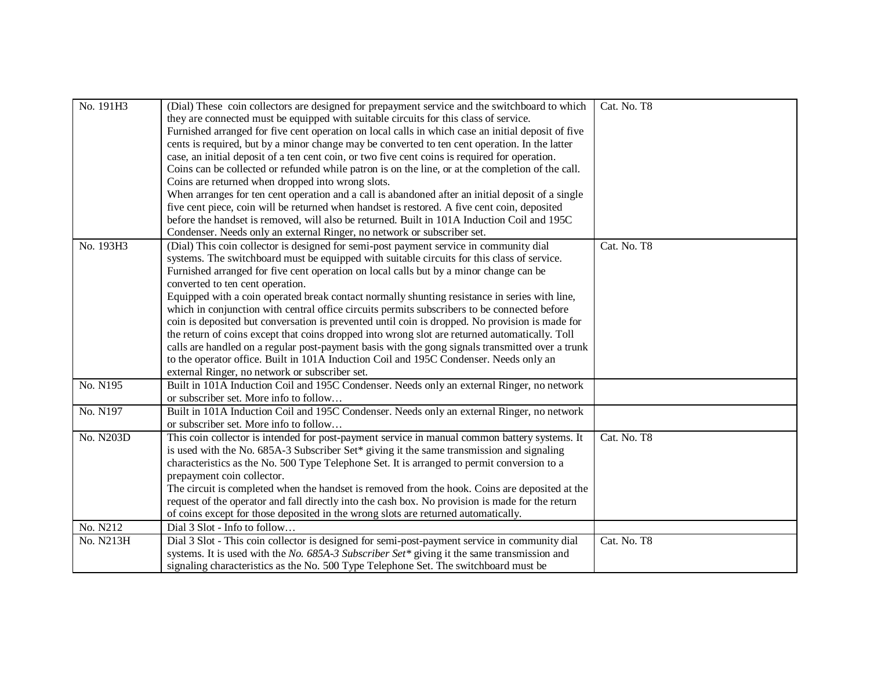| No. 191H3 | (Dial) These coin collectors are designed for prepayment service and the switchboard to which<br>they are connected must be equipped with suitable circuits for this class of service.<br>Furnished arranged for five cent operation on local calls in which case an initial deposit of five<br>cents is required, but by a minor change may be converted to ten cent operation. In the latter<br>case, an initial deposit of a ten cent coin, or two five cent coins is required for operation.<br>Coins can be collected or refunded while patron is on the line, or at the completion of the call.<br>Coins are returned when dropped into wrong slots.<br>When arranges for ten cent operation and a call is abandoned after an initial deposit of a single<br>five cent piece, coin will be returned when handset is restored. A five cent coin, deposited<br>before the handset is removed, will also be returned. Built in 101A Induction Coil and 195C<br>Condenser. Needs only an external Ringer, no network or subscriber set. | Cat. No. T8 |
|-----------|-------------------------------------------------------------------------------------------------------------------------------------------------------------------------------------------------------------------------------------------------------------------------------------------------------------------------------------------------------------------------------------------------------------------------------------------------------------------------------------------------------------------------------------------------------------------------------------------------------------------------------------------------------------------------------------------------------------------------------------------------------------------------------------------------------------------------------------------------------------------------------------------------------------------------------------------------------------------------------------------------------------------------------------------|-------------|
| No. 193H3 | (Dial) This coin collector is designed for semi-post payment service in community dial<br>systems. The switchboard must be equipped with suitable circuits for this class of service.<br>Furnished arranged for five cent operation on local calls but by a minor change can be<br>converted to ten cent operation.<br>Equipped with a coin operated break contact normally shunting resistance in series with line,<br>which in conjunction with central office circuits permits subscribers to be connected before<br>coin is deposited but conversation is prevented until coin is dropped. No provision is made for<br>the return of coins except that coins dropped into wrong slot are returned automatically. Toll<br>calls are handled on a regular post-payment basis with the gong signals transmitted over a trunk<br>to the operator office. Built in 101A Induction Coil and 195C Condenser. Needs only an<br>external Ringer, no network or subscriber set.                                                                 | Cat. No. T8 |
| No. N195  | Built in 101A Induction Coil and 195C Condenser. Needs only an external Ringer, no network<br>or subscriber set. More info to follow                                                                                                                                                                                                                                                                                                                                                                                                                                                                                                                                                                                                                                                                                                                                                                                                                                                                                                      |             |
| No. N197  | Built in 101A Induction Coil and 195C Condenser. Needs only an external Ringer, no network<br>or subscriber set. More info to follow                                                                                                                                                                                                                                                                                                                                                                                                                                                                                                                                                                                                                                                                                                                                                                                                                                                                                                      |             |
| No. N203D | This coin collector is intended for post-payment service in manual common battery systems. It<br>is used with the No. 685A-3 Subscriber Set* giving it the same transmission and signaling<br>characteristics as the No. 500 Type Telephone Set. It is arranged to permit conversion to a<br>prepayment coin collector.<br>The circuit is completed when the handset is removed from the hook. Coins are deposited at the<br>request of the operator and fall directly into the cash box. No provision is made for the return<br>of coins except for those deposited in the wrong slots are returned automatically.                                                                                                                                                                                                                                                                                                                                                                                                                       | Cat. No. T8 |
| No. N212  | Dial 3 Slot - Info to follow                                                                                                                                                                                                                                                                                                                                                                                                                                                                                                                                                                                                                                                                                                                                                                                                                                                                                                                                                                                                              |             |
| No. N213H | Dial 3 Slot - This coin collector is designed for semi-post-payment service in community dial<br>systems. It is used with the No. 685A-3 Subscriber Set* giving it the same transmission and<br>signaling characteristics as the No. 500 Type Telephone Set. The switchboard must be                                                                                                                                                                                                                                                                                                                                                                                                                                                                                                                                                                                                                                                                                                                                                      | Cat. No. T8 |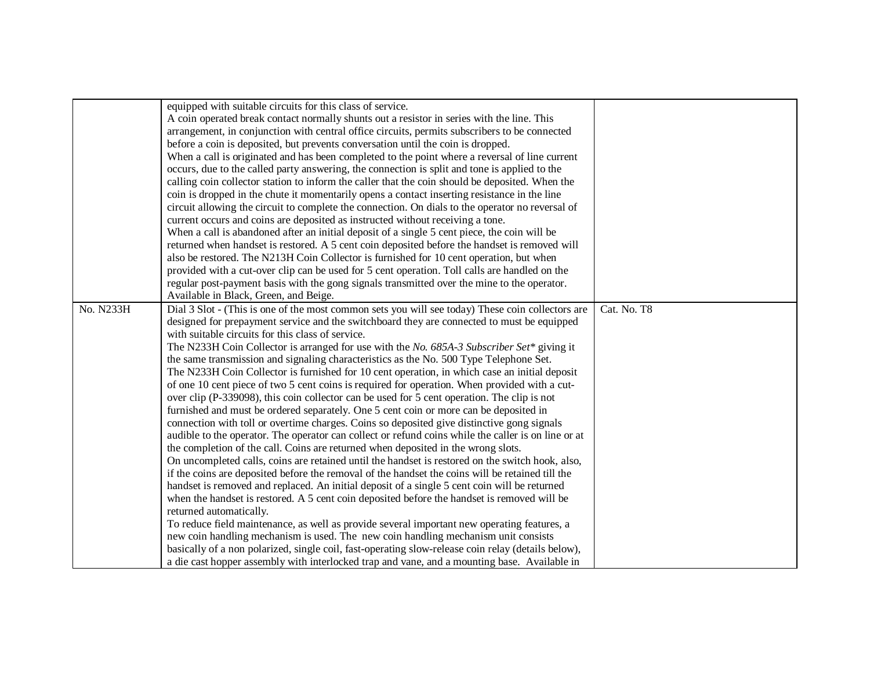|           | equipped with suitable circuits for this class of service.                                             |             |
|-----------|--------------------------------------------------------------------------------------------------------|-------------|
|           | A coin operated break contact normally shunts out a resistor in series with the line. This             |             |
|           | arrangement, in conjunction with central office circuits, permits subscribers to be connected          |             |
|           | before a coin is deposited, but prevents conversation until the coin is dropped.                       |             |
|           | When a call is originated and has been completed to the point where a reversal of line current         |             |
|           | occurs, due to the called party answering, the connection is split and tone is applied to the          |             |
|           | calling coin collector station to inform the caller that the coin should be deposited. When the        |             |
|           | coin is dropped in the chute it momentarily opens a contact inserting resistance in the line           |             |
|           | circuit allowing the circuit to complete the connection. On dials to the operator no reversal of       |             |
|           | current occurs and coins are deposited as instructed without receiving a tone.                         |             |
|           | When a call is abandoned after an initial deposit of a single 5 cent piece, the coin will be           |             |
|           | returned when handset is restored. A 5 cent coin deposited before the handset is removed will          |             |
|           | also be restored. The N213H Coin Collector is furnished for 10 cent operation, but when                |             |
|           | provided with a cut-over clip can be used for 5 cent operation. Toll calls are handled on the          |             |
|           | regular post-payment basis with the gong signals transmitted over the mine to the operator.            |             |
|           | Available in Black, Green, and Beige.                                                                  |             |
| No. N233H | Dial 3 Slot - (This is one of the most common sets you will see today) These coin collectors are       | Cat. No. T8 |
|           | designed for prepayment service and the switchboard they are connected to must be equipped             |             |
|           | with suitable circuits for this class of service.                                                      |             |
|           | The N233H Coin Collector is arranged for use with the No. 685A-3 Subscriber Set <sup>*</sup> giving it |             |
|           | the same transmission and signaling characteristics as the No. 500 Type Telephone Set.                 |             |
|           | The N233H Coin Collector is furnished for 10 cent operation, in which case an initial deposit          |             |
|           | of one 10 cent piece of two 5 cent coins is required for operation. When provided with a cut-          |             |
|           | over clip (P-339098), this coin collector can be used for 5 cent operation. The clip is not            |             |
|           | furnished and must be ordered separately. One 5 cent coin or more can be deposited in                  |             |
|           | connection with toll or overtime charges. Coins so deposited give distinctive gong signals             |             |
|           | audible to the operator. The operator can collect or refund coins while the caller is on line or at    |             |
|           | the completion of the call. Coins are returned when deposited in the wrong slots.                      |             |
|           | On uncompleted calls, coins are retained until the handset is restored on the switch hook, also,       |             |
|           | if the coins are deposited before the removal of the handset the coins will be retained till the       |             |
|           | handset is removed and replaced. An initial deposit of a single 5 cent coin will be returned           |             |
|           | when the handset is restored. A 5 cent coin deposited before the handset is removed will be            |             |
|           | returned automatically.                                                                                |             |
|           | To reduce field maintenance, as well as provide several important new operating features, a            |             |
|           | new coin handling mechanism is used. The new coin handling mechanism unit consists                     |             |
|           | basically of a non polarized, single coil, fast-operating slow-release coin relay (details below),     |             |
|           | a die cast hopper assembly with interlocked trap and vane, and a mounting base. Available in           |             |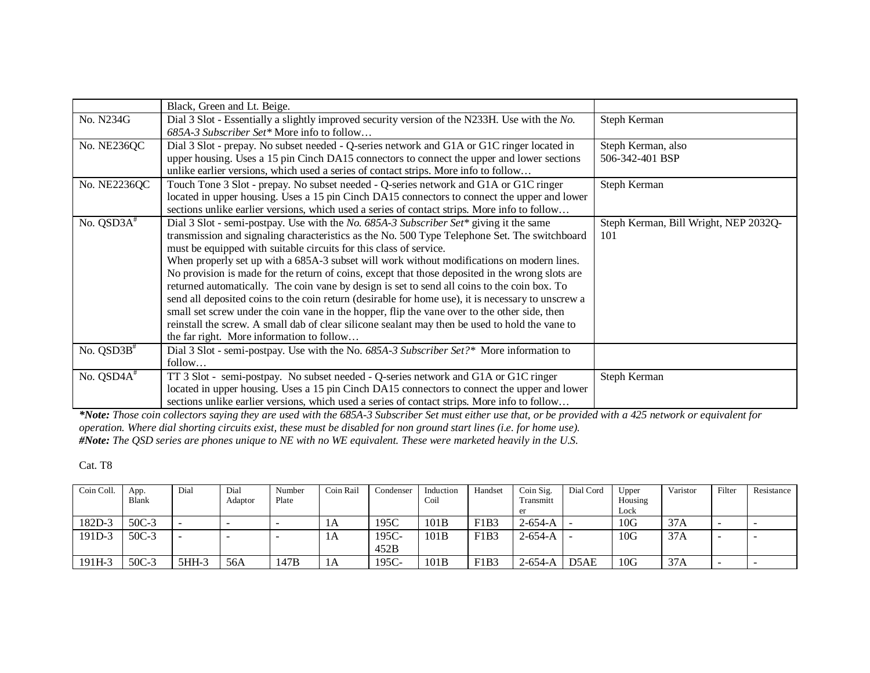|                                                    | Black, Green and Lt. Beige.                                                                               |                                                                                                                                                |
|----------------------------------------------------|-----------------------------------------------------------------------------------------------------------|------------------------------------------------------------------------------------------------------------------------------------------------|
| No. N234G                                          | Dial 3 Slot - Essentially a slightly improved security version of the N233H. Use with the No.             | Steph Kerman                                                                                                                                   |
|                                                    | 685A-3 Subscriber Set* More info to follow                                                                |                                                                                                                                                |
| No. NE236QC                                        | Dial 3 Slot - prepay. No subset needed - Q-series network and G1A or G1C ringer located in                | Steph Kerman, also                                                                                                                             |
|                                                    | upper housing. Uses a 15 pin Cinch DA15 connectors to connect the upper and lower sections                | 506-342-401 BSP                                                                                                                                |
|                                                    | unlike earlier versions, which used a series of contact strips. More info to follow                       |                                                                                                                                                |
| No. NE2236QC                                       | Touch Tone 3 Slot - prepay. No subset needed - Q-series network and G1A or G1C ringer                     | Steph Kerman                                                                                                                                   |
|                                                    | located in upper housing. Uses a 15 pin Cinch DA15 connectors to connect the upper and lower              |                                                                                                                                                |
|                                                    | sections unlike earlier versions, which used a series of contact strips. More info to follow              |                                                                                                                                                |
| No. QSD3A <sup>#</sup>                             | Dial 3 Slot - semi-postpay. Use with the <i>No.</i> 685A-3 Subscriber Set <sup>*</sup> giving it the same | Steph Kerman, Bill Wright, NEP 2032Q-                                                                                                          |
|                                                    | transmission and signaling characteristics as the No. 500 Type Telephone Set. The switchboard             | 101                                                                                                                                            |
|                                                    | must be equipped with suitable circuits for this class of service.                                        |                                                                                                                                                |
|                                                    | When properly set up with a 685A-3 subset will work without modifications on modern lines.                |                                                                                                                                                |
|                                                    | No provision is made for the return of coins, except that those deposited in the wrong slots are          |                                                                                                                                                |
|                                                    | returned automatically. The coin vane by design is set to send all coins to the coin box. To              |                                                                                                                                                |
|                                                    | send all deposited coins to the coin return (desirable for home use), it is necessary to unscrew a        |                                                                                                                                                |
|                                                    | small set screw under the coin vane in the hopper, flip the vane over to the other side, then             |                                                                                                                                                |
|                                                    | reinstall the screw. A small dab of clear silicone sealant may then be used to hold the vane to           |                                                                                                                                                |
|                                                    | the far right. More information to follow                                                                 |                                                                                                                                                |
| No. $QSD3B^*$                                      | Dial 3 Slot - semi-postpay. Use with the No. 685A-3 Subscriber Set?* More information to                  |                                                                                                                                                |
|                                                    | follow                                                                                                    |                                                                                                                                                |
| No. QSD4A <sup>#</sup>                             | TT 3 Slot - semi-postpay. No subset needed - Q-series network and G1A or G1C ringer                       | Steph Kerman                                                                                                                                   |
|                                                    | located in upper housing. Uses a 15 pin Cinch DA15 connectors to connect the upper and lower              |                                                                                                                                                |
|                                                    | sections unlike earlier versions, which used a series of contact strips. More info to follow              |                                                                                                                                                |
| $\mathbf{a}$ , and $\mathbf{b}$ , and $\mathbf{c}$ |                                                                                                           | $\mathbf{a}$ $\mathbf{b}$ $\mathbf{c}$ $\mathbf{c}$ $\mathbf{d}$ $\mathbf{c}$ $\mathbf{c}$ $\mathbf{c}$ $\mathbf{d}$ $\mathbf{c}$ $\mathbf{c}$ |

*\*Note: Those coin collectors saying they are used with the 685A-3 Subscriber Set must either use that, or be provided with a 425 network or equivalent for operation. Where dial shorting circuits exist, these must be disabled for non ground start lines (i.e. for home use). #Note: The QSD series are phones unique to NE with no WE equivalent. These were marketed heavily in the U.S.*

Cat. T8

| Coin Coll. | App.         | Dial    | Dial    | Number | Coin Rail | Condenser | Induction | Handset | Coin Sig. | Dial Cord         | Upper       | Varistor | Filter | Resistance |
|------------|--------------|---------|---------|--------|-----------|-----------|-----------|---------|-----------|-------------------|-------------|----------|--------|------------|
|            | <b>Blank</b> |         | Adaptor | Plate  |           |           | Coil      |         | Fransmitt |                   | Housing     |          |        |            |
|            |              |         |         |        |           |           |           |         |           |                   | Lock        |          |        |            |
| 182D-3     | 50C-3        |         |         |        | ΙA        | 195C      | 101B      | F1B3    | $2-654-A$ | -                 | $10\rm{G}$  | 37A      |        |            |
| 191D-3     | 50C-3        |         |         |        | ΙA        | 195C-     | 101B      | F1B3    | $2-654-A$ | -                 | $10{\rm G}$ | 37A      | -      |            |
|            |              |         |         |        |           | 452B      |           |         |           |                   |             |          |        |            |
| 191H-3     | $50C-3$      | $5HH-3$ | 56A     | 147B   | 1A        | 195C-     | 101B      | F1B3    | $2-654-A$ | D <sub>5</sub> AE | 10G         | 37A      |        |            |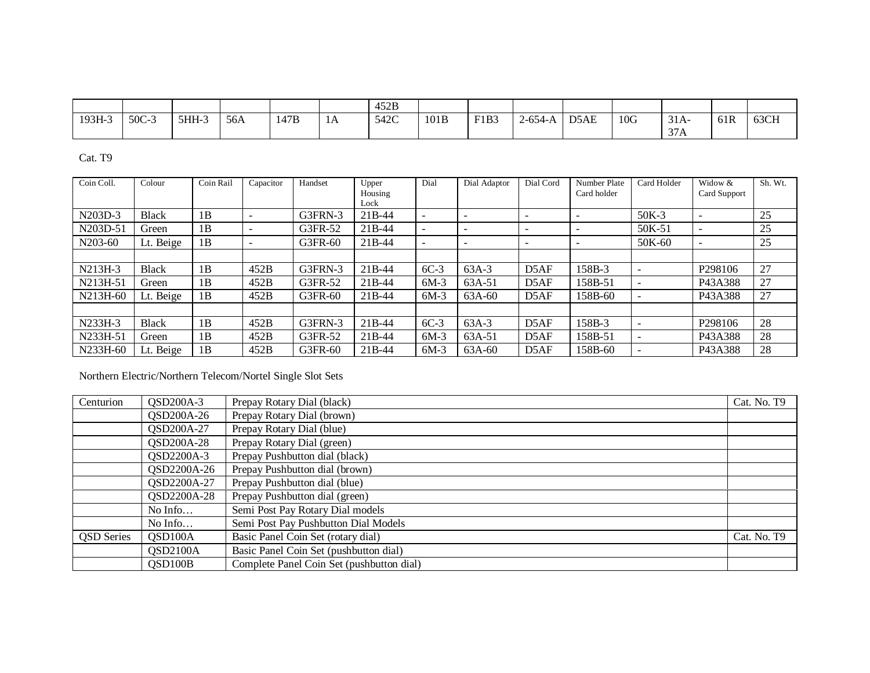|        |       |       |     |      |    | 452B |      |      |           |      |     |                                  |     |      |
|--------|-------|-------|-----|------|----|------|------|------|-----------|------|-----|----------------------------------|-----|------|
| 193H-3 | 50C-3 | 5HH-3 | 56A | 147B | 1A | 542C | 101B | F1B3 | $2-654-A$ | D5AE | 10G | $31A-$<br>$\gamma$ $\tau$<br>J/A | 61R | 63CH |

Cat. T9

| Coin Coll. | Colour       | Coin Rail | Capacitor                    | Handset | Upper<br>Housing    | Dial                     | Dial Adaptor             | Dial Cord         | Number Plate<br>Card holder | Card Holder | Widow &<br>Card Support | Sh. Wt. |
|------------|--------------|-----------|------------------------------|---------|---------------------|--------------------------|--------------------------|-------------------|-----------------------------|-------------|-------------------------|---------|
|            |              |           |                              |         | Lock                |                          |                          |                   |                             |             |                         |         |
| N203D-3    | <b>Black</b> | 1B        | $\qquad \qquad \blacksquare$ | G3FRN-3 | $21B-44$            | $\overline{\phantom{0}}$ | $\overline{\phantom{0}}$ |                   | $\overline{\phantom{0}}$    | $50K-3$     |                         | 25      |
| N203D-51   | Green        | 1B        | $\overline{\phantom{0}}$     | G3FR-52 | 21 <sub>B</sub> -44 | $\overline{\phantom{0}}$ | -                        |                   | -                           | 50K-51      |                         | 25      |
| N203-60    | Lt. Beige    | 1B        | $\overline{\phantom{0}}$     | G3FR-60 | 21B-44              | $\overline{\phantom{0}}$ | $\overline{\phantom{0}}$ |                   | -                           | 50K-60      |                         | 25      |
|            |              |           |                              |         |                     |                          |                          |                   |                             |             |                         |         |
| N213H-3    | <b>Black</b> | 1B        | 452B                         | G3FRN-3 | $21B-44$            | $6C-3$                   | $63A-3$                  | D <sub>5</sub> AF | 158B-3                      |             | P <sub>298106</sub>     | 27      |
| N213H-51   | Green        | 1B        | 452B                         | G3FR-52 | $21B-44$            | $6M-3$                   | 63A-51                   | D <sub>5</sub> AF | 158B-51                     |             | P43A388                 | 27      |
| N213H-60   | Lt. Beige    | 1B        | 452B                         | G3FR-60 | $21B-44$            | $6M-3$                   | 63A-60                   | D <sub>5</sub> AF | 158B-60                     |             | P43A388                 | 27      |
|            |              |           |                              |         |                     |                          |                          |                   |                             |             |                         |         |
| N233H-3    | <b>Black</b> | 1B        | 452B                         | G3FRN-3 | $21B-44$            | $6C-3$                   | $63A-3$                  | D5AF              | 158B-3                      |             | P <sub>298106</sub>     | 28      |
| N233H-51   | Green        | 1B        | 452B                         | G3FR-52 | 21B-44              | $6M-3$                   | 63A-51                   | D <sub>5</sub> AF | 158B-51                     |             | P43A388                 | 28      |
| N233H-60   | Lt. Beige    | 1B        | 452B                         | G3FR-60 | $21B-44$            | $6M-3$                   | 63A-60                   | D <sub>5</sub> AF | 158B-60                     |             | P43A388                 | 28      |

Northern Electric/Northern Telecom/Nortel Single Slot Sets

| Centurion         | QSD200A-3            | Prepay Rotary Dial (black)                | Cat. No. T9 |
|-------------------|----------------------|-------------------------------------------|-------------|
|                   | QSD200A-26           | Prepay Rotary Dial (brown)                |             |
|                   | QSD200A-27           | Prepay Rotary Dial (blue)                 |             |
|                   | QSD200A-28           | Prepay Rotary Dial (green)                |             |
|                   | QSD2200A-3           | Prepay Pushbutton dial (black)            |             |
|                   | QSD2200A-26          | Prepay Pushbutton dial (brown)            |             |
|                   | QSD2200A-27          | Prepay Pushbutton dial (blue)             |             |
|                   | QSD2200A-28          | Prepay Pushbutton dial (green)            |             |
|                   | No Info              | Semi Post Pay Rotary Dial models          |             |
|                   | No Info              | Semi Post Pay Pushbutton Dial Models      |             |
| <b>QSD</b> Series | QSD <sub>100</sub> A | Basic Panel Coin Set (rotary dial)        | Cat. No. T9 |
|                   | QSD2100A             | Basic Panel Coin Set (pushbutton dial)    |             |
|                   | QSD100B              | Complete Panel Coin Set (pushbutton dial) |             |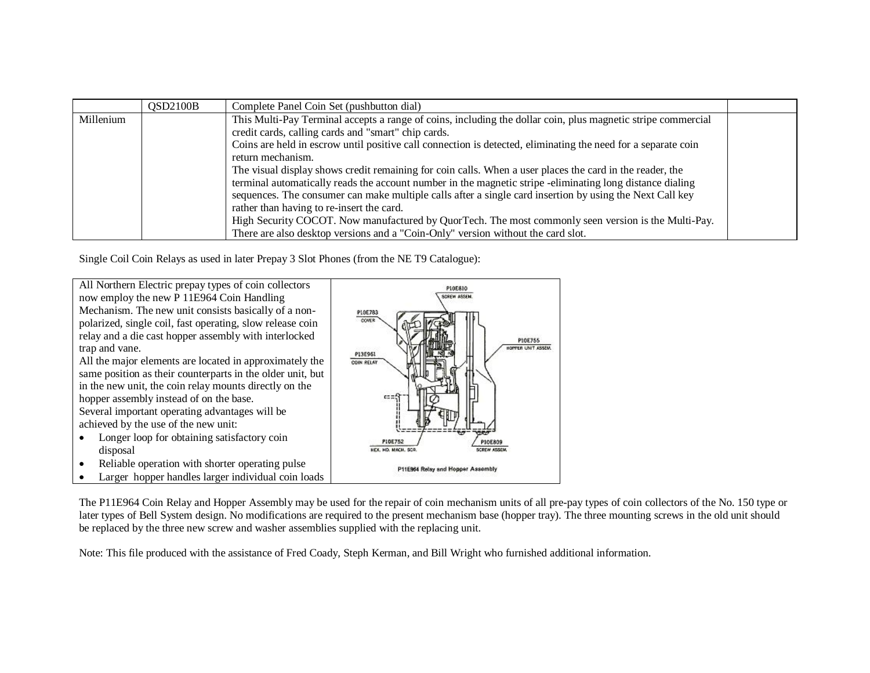|           | OSD2100B | Complete Panel Coin Set (pushbutton dial)                                                                     |  |
|-----------|----------|---------------------------------------------------------------------------------------------------------------|--|
| Millenium |          | This Multi-Pay Terminal accepts a range of coins, including the dollar coin, plus magnetic stripe commercial  |  |
|           |          | credit cards, calling cards and "smart" chip cards.                                                           |  |
|           |          | Coins are held in escrow until positive call connection is detected, eliminating the need for a separate coin |  |
|           |          | return mechanism.                                                                                             |  |
|           |          | The visual display shows credit remaining for coin calls. When a user places the card in the reader, the      |  |
|           |          | terminal automatically reads the account number in the magnetic stripe -eliminating long distance dialing     |  |
|           |          | sequences. The consumer can make multiple calls after a single card insertion by using the Next Call key      |  |
|           |          | rather than having to re-insert the card.                                                                     |  |
|           |          | High Security COCOT. Now manufactured by QuorTech. The most commonly seen version is the Multi-Pay.           |  |
|           |          | There are also desktop versions and a "Coin-Only" version without the card slot.                              |  |

Single Coil Coin Relays as used in later Prepay 3 Slot Phones (from the NE T9 Catalogue):

All Northern Electric prepay types of coin collectors now employ the new P 11E964 Coin Handling Mechanism. The new unit consists basically of a nonpolarized, single coil, fast operating, slow release coin relay and a die cast hopper assembly with interlocked trap and vane.

All the major elements are located in approximately the same position as their counterparts in the older unit, but in the new unit, the coin relay mounts directly on the hopper assembly instead of on the base.

Several important operating advantages will be achieved by the use of the new unit:

- Longer loop for obtaining satisfactory coin disposal
- Reliable operation with shorter operating pulse
- Larger hopper handles larger individual coin loads



The P11E964 Coin Relay and Hopper Assembly may be used for the repair of coin mechanism units of all pre-pay types of coin collectors of the No. 150 type or later types of Bell System design. No modifications are required to the present mechanism base (hopper tray). The three mounting screws in the old unit should be replaced by the three new screw and washer assemblies supplied with the replacing unit.

Note: This file produced with the assistance of Fred Coady, Steph Kerman, and Bill Wright who furnished additional information.